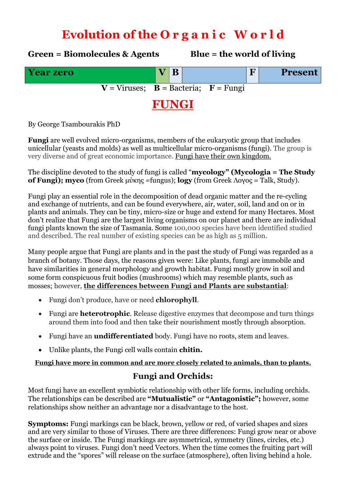# **Evolution of the O r g a n i c W o r l d**

**Green = Biomolecules & Agents Blue = the world of living Year zero V B F Present**  $V = V$ iruses;  $B = B$ acteria;  $F = F$ ungi **FUNGI**

By George Tsambourakis PhD

**Fungi** are well evolved micro-organisms, members of the [eukaryotic](https://en.wikipedia.org/wiki/Eukaryote) group that includes unicellular [\(yeasts](https://en.wikipedia.org/wiki/Yeast) and [molds\)](https://en.wikipedia.org/wiki/Mold) as well as multicellular micro-organisms (fungi). The group is very diverse and of great economic importance. Fungi have their own kingdom.

The discipline devoted to the study of fungi is called "**[mycology](https://en.wikipedia.org/wiki/Mycology)" (Mycologia = The Study of Fungi); myco** (from [Greek](https://en.wikipedia.org/wiki/Greek_language) μύκης =fungus); **logy** (from Greek Λογος = Talk, Study).

Fungi play an essential role in the decomposition of dead organic matter and the [re-cycling](https://en.wikipedia.org/wiki/Biogeochemical_cycle) and exchange of nutrients, and can be found everywhere, air, water, soil, land and on or in plants and animals. They can be tiny, micro-size or huge and extend for many Hectares. Most don't realize that Fungi are the largest living organisms on our planet and there are individual fungi plants known the size of Tasmania. Some 100,000 species have been identified studied and described. The real number of existing species can be as high as 5 million.

Many people argue that Fungi are plants and in the past the study of Fungi was regarded as a branch of [botany.](https://en.wikipedia.org/wiki/Botany) Those days, the reasons given were: Like plants, fungi are [immobile](https://en.wikipedia.org/wiki/Sessility_(zoology)) and have similarities in general morphology and growth habitat. Fungi mostly grow in soil and some form conspicuous [fruit bodies](https://en.wikipedia.org/wiki/Fruit_bodies) (mushrooms) which may resemble plants, such as [mosses;](https://en.wikipedia.org/wiki/Mosses) however, **the differences between Fungi and Plants are substantial**:

- Fungi don't produce, have or need **chlorophyll**.
- Fungi are **heterotrophic**. Release digestive enzymes that decompose and turn things around them into food and then take their nourishment mostly through absorption.
- Fungi have an **undifferentiated** body. Fungi have no roots, stem and leaves.
- Unlike plants, the Fungi cell walls contain **chitin.**

**Fungi have more in common and are more closely related to animals, than to plants.**

### **Fungi and Orchids:**

Most fungi have an excellent symbiotic relationship with other life forms, including orchids. The relationships can be described are **"Mutualistic"** or **"Antagonistic";** however, some relationships show neither an advantage nor a disadvantage to the host.

**Symptoms:** Fungi markings can be black, brown, yellow or red, of varied shapes and sizes and are very similar to those of Viruses. There are three differences: Fungi grow near or above the surface or inside. The Fungi markings are asymmetrical, symmetry (lines, circles, etc.) always point to viruses. Fungi don't need Vectors. When the time comes the fruiting part will extrude and the "spores" will release on the surface (atmosphere), often living behind a hole.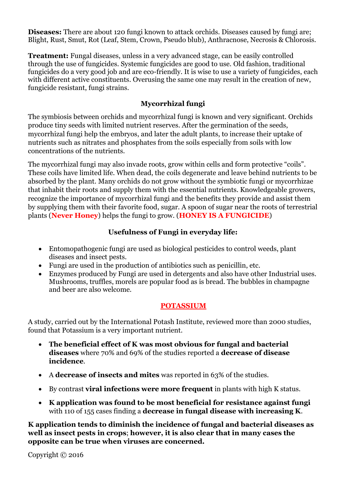**Diseases:** There are about 120 fungi known to attack orchids. Diseases caused by fungi are; Blight, Rust, Smut, Rot (Leaf, Stem, Crown, Pseudo blub), Anthracnose, Necrosis & Chlorosis.

**Treatment:** Fungal diseases, unless in a very advanced stage, can be easily controlled through the use of fungicides. Systemic fungicides are good to use. Old fashion, traditional fungicides do a very good job and are eco-friendly. It is wise to use a variety of fungicides, each with different active constituents. Overusing the same one may result in the creation of new, fungicide resistant, fungi strains.

#### **Mycorrhizal fungi**

The symbiosis between orchids and mycorrhizal fungi is known and very significant. Orchids produce tiny seeds with limited nutrient reserves. After the germination of the seeds, mycorrhizal fungi help the embryos, and later the adult plants, to increase their uptake of nutrients such as nitrates and phosphates from the soils especially from soils with low concentrations of the nutrients.

The mycorrhizal fungi may also invade roots, grow within cells and form protective "coils". These coils have limited life. When dead, the coils degenerate and leave behind nutrients to be absorbed by the plant. Many orchids do not grow without the symbiotic fungi or mycorrhizae that inhabit their roots and supply them with the essential nutrients. Knowledgeable growers, recognize the importance of mycorrhizal fungi and the benefits they provide and assist them by supplying them with their favorite food, sugar. A spoon of sugar near the roots of terrestrial plants (**Never Honey**) helps the fungi to grow. (**HONEY IS A FUNGICIDE**)

#### **Usefulness of Fungi in everyday life:**

- Entomopathogenic fungi are used as [biological pesticides](https://en.wikipedia.org/wiki/Biological_pesticide) to control weeds, plant diseases and insect pests.
- Fungi are used in the production of [antibiotics](https://en.wikipedia.org/wiki/Antibiotic) such as penicillin, etc.
- Enzymes produced by Fungi are used in [detergents](https://en.wikipedia.org/wiki/Protease#Occurrence) and also have other Industrial uses. Mushrooms, truffles, morels are popular food as is bread. The bubbles in champagne and beer are also welcome.

#### **POTASSIUM**

A study, carried out by the International Potash Institute, reviewed more than 2000 studies, found that Potassium is a very important nutrient.

- **The beneficial effect of K was most obvious for fungal and bacterial diseases** where 70% and 69% of the studies reported a **decrease of disease incidence**.
- A **decrease of insects and mites** was reported in 63% of the studies.
- By contrast **viral infections were more frequent** in plants with high K status.
- **K application was found to be most beneficial for resistance against fungi** with 110 of 155 cases finding a **decrease in fungal disease with increasing K**.

**K application tends to diminish the incidence of fungal and bacterial diseases as well as insect pests in crops**; **however, it is also clear that in many cases the opposite can be true when viruses are concerned.**

Copyright © 2016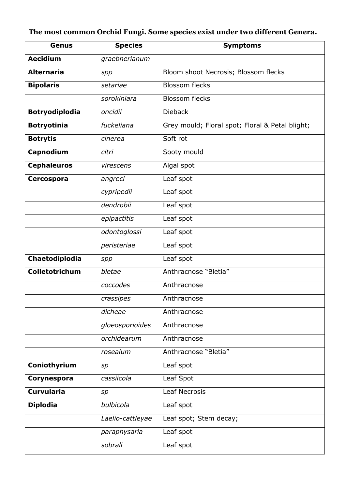## **The most common Orchid Fungi. Some species exist under two different Genera.**

| <b>Genus</b>          | <b>Species</b>   | <b>Symptoms</b>                                 |
|-----------------------|------------------|-------------------------------------------------|
| <b>Aecidium</b>       | graebnerianum    |                                                 |
| <b>Alternaria</b>     | spp              | Bloom shoot Necrosis; Blossom flecks            |
| <b>Bipolaris</b>      | setariae         | <b>Blossom flecks</b>                           |
|                       | sorokiniara      | <b>Blossom flecks</b>                           |
| <b>Botryodiplodia</b> | oncidii          | <b>Dieback</b>                                  |
| <b>Botryotinia</b>    | fuckeliana       | Grey mould; Floral spot; Floral & Petal blight; |
| <b>Botrytis</b>       | cinerea          | Soft rot                                        |
| Capnodium             | citri            | Sooty mould                                     |
| <b>Cephaleuros</b>    | virescens        | Algal spot                                      |
| <b>Cercospora</b>     | angreci          | Leaf spot                                       |
|                       | cypripedii       | Leaf spot                                       |
|                       | dendrobii        | Leaf spot                                       |
|                       | epipactitis      | Leaf spot                                       |
|                       | odontoglossi     | Leaf spot                                       |
|                       | peristeriae      | Leaf spot                                       |
| Chaetodiplodia        | spp              | Leaf spot                                       |
| Colletotrichum        | bletae           | Anthracnose "Bletia"                            |
|                       | coccodes         | Anthracnose                                     |
|                       | crassipes        | Anthracnose                                     |
|                       | dicheae          | Anthracnose                                     |
|                       | gloeosporioides  | Anthracnose                                     |
|                       | orchidearum      | Anthracnose                                     |
|                       | rosealum         | Anthracnose "Bletia"                            |
| Coniothyrium          | sp               | Leaf spot                                       |
| Corynespora           | cassiicola       | Leaf Spot                                       |
| <b>Curvularia</b>     | sp               | <b>Leaf Necrosis</b>                            |
| <b>Diplodia</b>       | bulbicola        | Leaf spot                                       |
|                       | Laelio-cattleyae | Leaf spot; Stem decay;                          |
|                       | paraphysaria     | Leaf spot                                       |
|                       | sobrali          | Leaf spot                                       |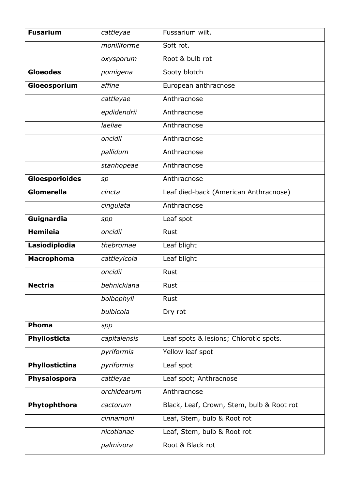| <b>Fusarium</b>       | cattleyae    | Fussarium wilt.                           |
|-----------------------|--------------|-------------------------------------------|
|                       | moniliforme  | Soft rot.                                 |
|                       | oxysporum    | Root & bulb rot                           |
| <b>Gloeodes</b>       | pomigena     | Sooty blotch                              |
| Gloeosporium          | affine       | European anthracnose                      |
|                       | cattleyae    | Anthracnose                               |
|                       | epdidendrii  | Anthracnose                               |
|                       | laeliae      | Anthracnose                               |
|                       | oncidii      | Anthracnose                               |
|                       | pallidum     | Anthracnose                               |
|                       | stanhopeae   | Anthracnose                               |
| <b>Gloesporioides</b> | sp           | Anthracnose                               |
| Glomerella            | cincta       | Leaf died-back (American Anthracnose)     |
|                       | cingulata    | Anthracnose                               |
| Guignardia            | spp          | Leaf spot                                 |
| <b>Hemileia</b>       | oncidii      | Rust                                      |
| Lasiodiplodia         | thebromae    | Leaf blight                               |
| <b>Macrophoma</b>     | cattleyicola | Leaf blight                               |
|                       | oncidii      | <b>Rust</b>                               |
| <b>Nectria</b>        | behnickiana  | Rust                                      |
|                       | bolbophyli   | Rust                                      |
|                       | bulbicola    | Dry rot                                   |
| Phoma                 | spp          |                                           |
| Phyllosticta          | capitalensis | Leaf spots & lesions; Chlorotic spots.    |
|                       | pyriformis   | Yellow leaf spot                          |
| Phyllostictina        | pyriformis   | Leaf spot                                 |
| Physalospora          | cattleyae    | Leaf spot; Anthracnose                    |
|                       | orchidearum  | Anthracnose                               |
| Phytophthora          | cactorum     | Black, Leaf, Crown, Stem, bulb & Root rot |
|                       | cinnamoni    | Leaf, Stem, bulb & Root rot               |
|                       | nicotianae   | Leaf, Stem, bulb & Root rot               |
|                       | palmivora    | Root & Black rot                          |